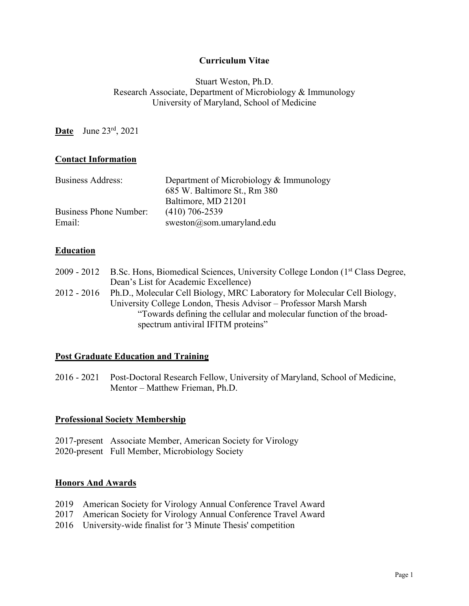### **Curriculum Vitae**

### Stuart Weston, Ph.D. Research Associate, Department of Microbiology & Immunology University of Maryland, School of Medicine

**Date** June 23rd, 2021

### **Contact Information**

| <b>Business Address:</b> | Department of Microbiology & Immunology |
|--------------------------|-----------------------------------------|
|                          | 685 W. Baltimore St., Rm 380            |
|                          | Baltimore, MD 21201                     |
| Business Phone Number:   | $(410)$ 706-2539                        |
| Email:                   | sweston@som.umaryland.edu               |

### **Education**

| 2009 - 2012 | B.Sc. Hons, Biomedical Sciences, University College London (1 <sup>st</sup> Class Degree, |
|-------------|-------------------------------------------------------------------------------------------|
|             | Dean's List for Academic Excellence)                                                      |
| 2012 - 2016 | Ph.D., Molecular Cell Biology, MRC Laboratory for Molecular Cell Biology,                 |
|             | University College London, Thesis Advisor – Professor Marsh Marsh                         |
|             | "Towards defining the cellular and molecular function of the broad-                       |
|             | spectrum antiviral IFITM proteins"                                                        |

### **Post Graduate Education and Training**

2016 - 2021 Post-Doctoral Research Fellow, University of Maryland, School of Medicine, Mentor – Matthew Frieman, Ph.D.

### **Professional Society Membership**

2017-present Associate Member, American Society for Virology 2020-present Full Member, Microbiology Society

#### **Honors And Awards**

- 2019 American Society for Virology Annual Conference Travel Award
- 2017 American Society for Virology Annual Conference Travel Award
- 2016 University-wide finalist for '3 Minute Thesis' competition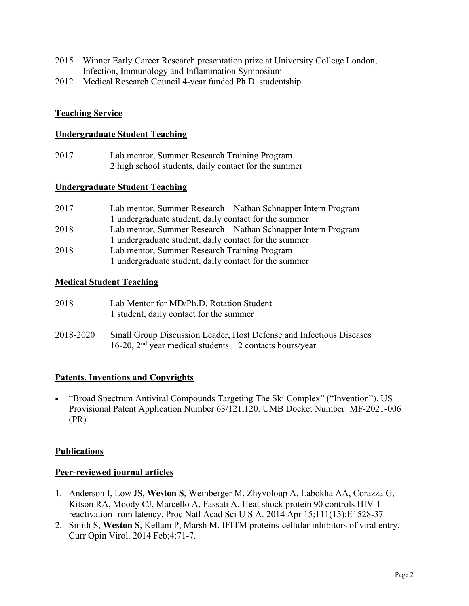- 2015 Winner Early Career Research presentation prize at University College London, Infection, Immunology and Inflammation Symposium
- 2012 Medical Research Council 4-year funded Ph.D. studentship

## **Teaching Service**

#### **Undergraduate Student Teaching**

2017 Lab mentor, Summer Research Training Program 2 high school students, daily contact for the summer

#### **Undergraduate Student Teaching**

| 2017 | Lab mentor, Summer Research - Nathan Schnapper Intern Program |
|------|---------------------------------------------------------------|
|      | 1 undergraduate student, daily contact for the summer         |
| 2018 | Lab mentor, Summer Research – Nathan Schnapper Intern Program |
|      | 1 undergraduate student, daily contact for the summer         |
| 2018 | Lab mentor, Summer Research Training Program                  |
|      | 1 undergraduate student, daily contact for the summer         |

### **Medical Student Teaching**

| 2018      | Lab Mentor for MD/Ph.D. Rotation Student<br>1 student, daily contact for the summer                                               |
|-----------|-----------------------------------------------------------------------------------------------------------------------------------|
| 2018-2020 | Small Group Discussion Leader, Host Defense and Infectious Diseases<br>16-20, $2nd$ year medical students – 2 contacts hours/year |

### **Patents, Inventions and Copyrights**

• "Broad Spectrum Antiviral Compounds Targeting The Ski Complex" ("Invention"). US Provisional Patent Application Number 63/121,120. UMB Docket Number: MF-2021-006 (PR)

### **Publications**

### **Peer-reviewed journal articles**

- 1. Anderson I, Low JS, **Weston S**, Weinberger M, Zhyvoloup A, Labokha AA, Corazza G, Kitson RA, Moody CJ, Marcello A, Fassati A. Heat shock protein 90 controls HIV-1 reactivation from latency. Proc Natl Acad Sci U S A. 2014 Apr 15;111(15):E1528-37
- 2. Smith S, **Weston S**, Kellam P, Marsh M. IFITM proteins-cellular inhibitors of viral entry. Curr Opin Virol. 2014 Feb;4:71-7.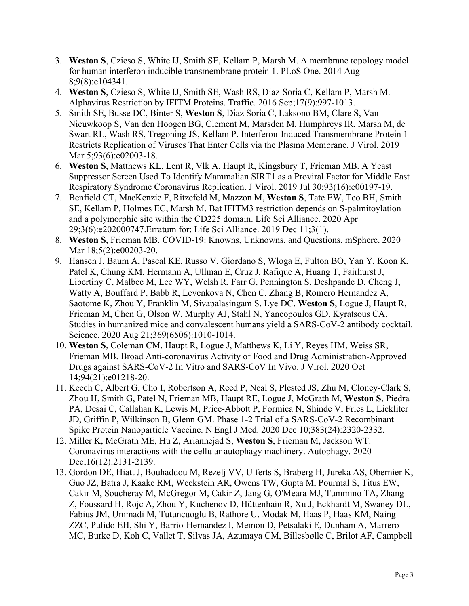- 3. **Weston S**, Czieso S, White IJ, Smith SE, Kellam P, Marsh M. A membrane topology model for human interferon inducible transmembrane protein 1. PLoS One. 2014 Aug 8;9(8):e104341.
- 4. **Weston S**, Czieso S, White IJ, Smith SE, Wash RS, Diaz-Soria C, Kellam P, Marsh M. Alphavirus Restriction by IFITM Proteins. Traffic. 2016 Sep;17(9):997-1013.
- 5. Smith SE, Busse DC, Binter S, **Weston S**, Diaz Soria C, Laksono BM, Clare S, Van Nieuwkoop S, Van den Hoogen BG, Clement M, Marsden M, Humphreys IR, Marsh M, de Swart RL, Wash RS, Tregoning JS, Kellam P. Interferon-Induced Transmembrane Protein 1 Restricts Replication of Viruses That Enter Cells via the Plasma Membrane. J Virol. 2019 Mar 5;93(6):e02003-18.
- 6. **Weston S**, Matthews KL, Lent R, Vlk A, Haupt R, Kingsbury T, Frieman MB. A Yeast Suppressor Screen Used To Identify Mammalian SIRT1 as a Proviral Factor for Middle East Respiratory Syndrome Coronavirus Replication. J Virol. 2019 Jul 30;93(16):e00197-19.
- 7. Benfield CT, MacKenzie F, Ritzefeld M, Mazzon M, **Weston S**, Tate EW, Teo BH, Smith SE, Kellam P, Holmes EC, Marsh M. Bat IFITM3 restriction depends on S-palmitoylation and a polymorphic site within the CD225 domain. Life Sci Alliance. 2020 Apr 29;3(6):e202000747.Erratum for: Life Sci Alliance. 2019 Dec 11;3(1).
- 8. **Weston S**, Frieman MB. COVID-19: Knowns, Unknowns, and Questions. mSphere. 2020 Mar  $18;5(2):e00203-20$ .
- 9. Hansen J, Baum A, Pascal KE, Russo V, Giordano S, Wloga E, Fulton BO, Yan Y, Koon K, Patel K, Chung KM, Hermann A, Ullman E, Cruz J, Rafique A, Huang T, Fairhurst J, Libertiny C, Malbec M, Lee WY, Welsh R, Farr G, Pennington S, Deshpande D, Cheng J, Watty A, Bouffard P, Babb R, Levenkova N, Chen C, Zhang B, Romero Hernandez A, Saotome K, Zhou Y, Franklin M, Sivapalasingam S, Lye DC, **Weston S**, Logue J, Haupt R, Frieman M, Chen G, Olson W, Murphy AJ, Stahl N, Yancopoulos GD, Kyratsous CA. Studies in humanized mice and convalescent humans yield a SARS-CoV-2 antibody cocktail. Science. 2020 Aug 21;369(6506):1010-1014.
- 10. **Weston S**, Coleman CM, Haupt R, Logue J, Matthews K, Li Y, Reyes HM, Weiss SR, Frieman MB. Broad Anti-coronavirus Activity of Food and Drug Administration-Approved Drugs against SARS-CoV-2 In Vitro and SARS-CoV In Vivo. J Virol. 2020 Oct 14;94(21):e01218-20.
- 11. Keech C, Albert G, Cho I, Robertson A, Reed P, Neal S, Plested JS, Zhu M, Cloney-Clark S, Zhou H, Smith G, Patel N, Frieman MB, Haupt RE, Logue J, McGrath M, **Weston S**, Piedra PA, Desai C, Callahan K, Lewis M, Price-Abbott P, Formica N, Shinde V, Fries L, Lickliter JD, Griffin P, Wilkinson B, Glenn GM. Phase 1-2 Trial of a SARS-CoV-2 Recombinant Spike Protein Nanoparticle Vaccine. N Engl J Med. 2020 Dec 10;383(24):2320-2332.
- 12. Miller K, McGrath ME, Hu Z, Ariannejad S, **Weston S**, Frieman M, Jackson WT. Coronavirus interactions with the cellular autophagy machinery. Autophagy. 2020 Dec;16(12):2131-2139.
- 13. Gordon DE, Hiatt J, Bouhaddou M, Rezelj VV, Ulferts S, Braberg H, Jureka AS, Obernier K, Guo JZ, Batra J, Kaake RM, Weckstein AR, Owens TW, Gupta M, Pourmal S, Titus EW, Cakir M, Soucheray M, McGregor M, Cakir Z, Jang G, O'Meara MJ, Tummino TA, Zhang Z, Foussard H, Rojc A, Zhou Y, Kuchenov D, Hüttenhain R, Xu J, Eckhardt M, Swaney DL, Fabius JM, Ummadi M, Tutuncuoglu B, Rathore U, Modak M, Haas P, Haas KM, Naing ZZC, Pulido EH, Shi Y, Barrio-Hernandez I, Memon D, Petsalaki E, Dunham A, Marrero MC, Burke D, Koh C, Vallet T, Silvas JA, Azumaya CM, Billesbølle C, Brilot AF, Campbell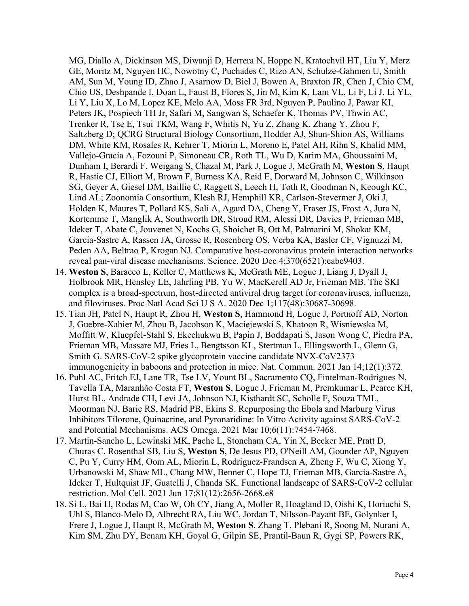MG, Diallo A, Dickinson MS, Diwanji D, Herrera N, Hoppe N, Kratochvil HT, Liu Y, Merz GE, Moritz M, Nguyen HC, Nowotny C, Puchades C, Rizo AN, Schulze-Gahmen U, Smith AM, Sun M, Young ID, Zhao J, Asarnow D, Biel J, Bowen A, Braxton JR, Chen J, Chio CM, Chio US, Deshpande I, Doan L, Faust B, Flores S, Jin M, Kim K, Lam VL, Li F, Li J, Li YL, Li Y, Liu X, Lo M, Lopez KE, Melo AA, Moss FR 3rd, Nguyen P, Paulino J, Pawar KI, Peters JK, Pospiech TH Jr, Safari M, Sangwan S, Schaefer K, Thomas PV, Thwin AC, Trenker R, Tse E, Tsui TKM, Wang F, Whitis N, Yu Z, Zhang K, Zhang Y, Zhou F, Saltzberg D; QCRG Structural Biology Consortium, Hodder AJ, Shun-Shion AS, Williams DM, White KM, Rosales R, Kehrer T, Miorin L, Moreno E, Patel AH, Rihn S, Khalid MM, Vallejo-Gracia A, Fozouni P, Simoneau CR, Roth TL, Wu D, Karim MA, Ghoussaini M, Dunham I, Berardi F, Weigang S, Chazal M, Park J, Logue J, McGrath M, **Weston S**, Haupt R, Hastie CJ, Elliott M, Brown F, Burness KA, Reid E, Dorward M, Johnson C, Wilkinson SG, Geyer A, Giesel DM, Baillie C, Raggett S, Leech H, Toth R, Goodman N, Keough KC, Lind AL; Zoonomia Consortium, Klesh RJ, Hemphill KR, Carlson-Stevermer J, Oki J, Holden K, Maures T, Pollard KS, Sali A, Agard DA, Cheng Y, Fraser JS, Frost A, Jura N, Kortemme T, Manglik A, Southworth DR, Stroud RM, Alessi DR, Davies P, Frieman MB, Ideker T, Abate C, Jouvenet N, Kochs G, Shoichet B, Ott M, Palmarini M, Shokat KM, García-Sastre A, Rassen JA, Grosse R, Rosenberg OS, Verba KA, Basler CF, Vignuzzi M, Peden AA, Beltrao P, Krogan NJ. Comparative host-coronavirus protein interaction networks reveal pan-viral disease mechanisms. Science. 2020 Dec 4;370(6521):eabe9403.

- 14. **Weston S**, Baracco L, Keller C, Matthews K, McGrath ME, Logue J, Liang J, Dyall J, Holbrook MR, Hensley LE, Jahrling PB, Yu W, MacKerell AD Jr, Frieman MB. The SKI complex is a broad-spectrum, host-directed antiviral drug target for coronaviruses, influenza, and filoviruses. Proc Natl Acad Sci U S A. 2020 Dec 1;117(48):30687-30698.
- 15. Tian JH, Patel N, Haupt R, Zhou H, **Weston S**, Hammond H, Logue J, Portnoff AD, Norton J, Guebre-Xabier M, Zhou B, Jacobson K, Maciejewski S, Khatoon R, Wisniewska M, Moffitt W, Kluepfel-Stahl S, Ekechukwu B, Papin J, Boddapati S, Jason Wong C, Piedra PA, Frieman MB, Massare MJ, Fries L, Bengtsson KL, Stertman L, Ellingsworth L, Glenn G, Smith G. SARS-CoV-2 spike glycoprotein vaccine candidate NVX-CoV2373 immunogenicity in baboons and protection in mice. Nat. Commun. 2021 Jan 14;12(1):372.
- 16. Puhl AC, Fritch EJ, Lane TR, Tse LV, Yount BL, Sacramento CQ, Fintelman-Rodrigues N, Tavella TA, Maranhão Costa FT, **Weston S**, Logue J, Frieman M, Premkumar L, Pearce KH, Hurst BL, Andrade CH, Levi JA, Johnson NJ, Kisthardt SC, Scholle F, Souza TML, Moorman NJ, Baric RS, Madrid PB, Ekins S. Repurposing the Ebola and Marburg Virus Inhibitors Tilorone, Quinacrine, and Pyronaridine: In Vitro Activity against SARS-CoV-2 and Potential Mechanisms. ACS Omega. 2021 Mar 10;6(11):7454-7468.
- 17. Martin-Sancho L, Lewinski MK, Pache L, Stoneham CA, Yin X, Becker ME, Pratt D, Churas C, Rosenthal SB, Liu S, **Weston S**, De Jesus PD, O'Neill AM, Gounder AP, Nguyen C, Pu Y, Curry HM, Oom AL, Miorin L, Rodriguez-Frandsen A, Zheng F, Wu C, Xiong Y, Urbanowski M, Shaw ML, Chang MW, Benner C, Hope TJ, Frieman MB, García-Sastre A, Ideker T, Hultquist JF, Guatelli J, Chanda SK. Functional landscape of SARS-CoV-2 cellular restriction. Mol Cell. 2021 Jun 17;81(12):2656-2668.e8
- 18. Si L, Bai H, Rodas M, Cao W, Oh CY, Jiang A, Moller R, Hoagland D, Oishi K, Horiuchi S, Uhl S, Blanco-Melo D, Albrecht RA, Liu WC, Jordan T, Nilsson-Payant BE, Golynker I, Frere J, Logue J, Haupt R, McGrath M, **Weston S**, Zhang T, Plebani R, Soong M, Nurani A, Kim SM, Zhu DY, Benam KH, Goyal G, Gilpin SE, Prantil-Baun R, Gygi SP, Powers RK,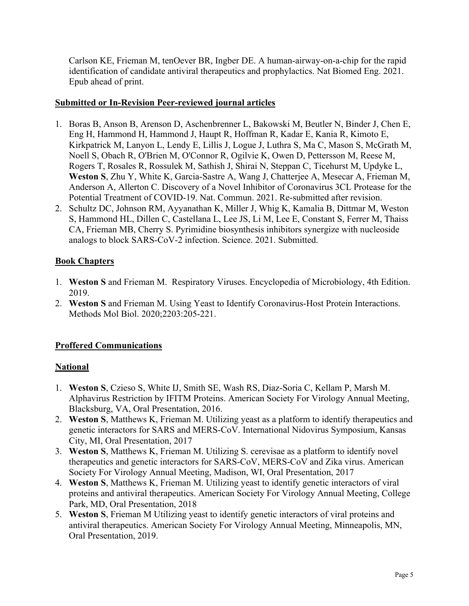Carlson KE, Frieman M, tenOever BR, Ingber DE. A human-airway-on-a-chip for the rapid identification of candidate antiviral therapeutics and prophylactics. Nat Biomed Eng. 2021. Epub ahead of print.

## **Submitted or In-Revision Peer-reviewed journal articles**

- 1. Boras B, Anson B, Arenson D, Aschenbrenner L, Bakowski M, Beutler N, Binder J, Chen E, Eng H, Hammond H, Hammond J, Haupt R, Hoffman R, Kadar E, Kania R, Kimoto E, Kirkpatrick M, Lanyon L, Lendy E, Lillis J, Logue J, Luthra S, Ma C, Mason S, McGrath M, Noell S, Obach R, O'Brien M, O'Connor R, Ogilvie K, Owen D, Pettersson M, Reese M, Rogers T, Rosales R, Rossulek M, Sathish J, Shirai N, Steppan C, Ticehurst M, Updyke L, **Weston S**, Zhu Y, White K, Garcia-Sastre A, Wang J, Chatterjee A, Mesecar A, Frieman M, Anderson A, Allerton C. Discovery of a Novel Inhibitor of Coronavirus 3CL Protease for the Potential Treatment of COVID-19. Nat. Commun. 2021. Re-submitted after revision.
- 2. Schultz DC, Johnson RM, Ayyanathan K, Miller J, Whig K, Kamalia B, Dittmar M, Weston S, Hammond HL, Dillen C, Castellana L, Lee JS, Li M, Lee E, Constant S, Ferrer M, Thaiss CA, Frieman MB, Cherry S. Pyrimidine biosynthesis inhibitors synergize with nucleoside analogs to block SARS-CoV-2 infection. Science. 2021. Submitted.

## **Book Chapters**

- 1. **Weston S** and Frieman M. Respiratory Viruses. Encyclopedia of Microbiology, 4th Edition. 2019.
- 2. **Weston S** and Frieman M. Using Yeast to Identify Coronavirus-Host Protein Interactions. Methods Mol Biol. 2020;2203:205-221.

# **Proffered Communications**

## **National**

- 1. **Weston S**, Czieso S, White IJ, Smith SE, Wash RS, Diaz-Soria C, Kellam P, Marsh M. Alphavirus Restriction by IFITM Proteins. American Society For Virology Annual Meeting, Blacksburg, VA, Oral Presentation, 2016.
- 2. **Weston S**, Matthews K, Frieman M. Utilizing yeast as a platform to identify therapeutics and genetic interactors for SARS and MERS-CoV. International Nidovirus Symposium, Kansas City, MI, Oral Presentation, 2017
- 3. **Weston S**, Matthews K, Frieman M. Utilizing S. cerevisae as a platform to identify novel therapeutics and genetic interactors for SARS-CoV, MERS-CoV and Zika virus. American Society For Virology Annual Meeting, Madison, WI, Oral Presentation, 2017
- 4. **Weston S**, Matthews K, Frieman M. Utilizing yeast to identify genetic interactors of viral proteins and antiviral therapeutics. American Society For Virology Annual Meeting, College Park, MD, Oral Presentation, 2018
- 5. **Weston S**, Frieman M Utilizing yeast to identify genetic interactors of viral proteins and antiviral therapeutics. American Society For Virology Annual Meeting, Minneapolis, MN, Oral Presentation, 2019.